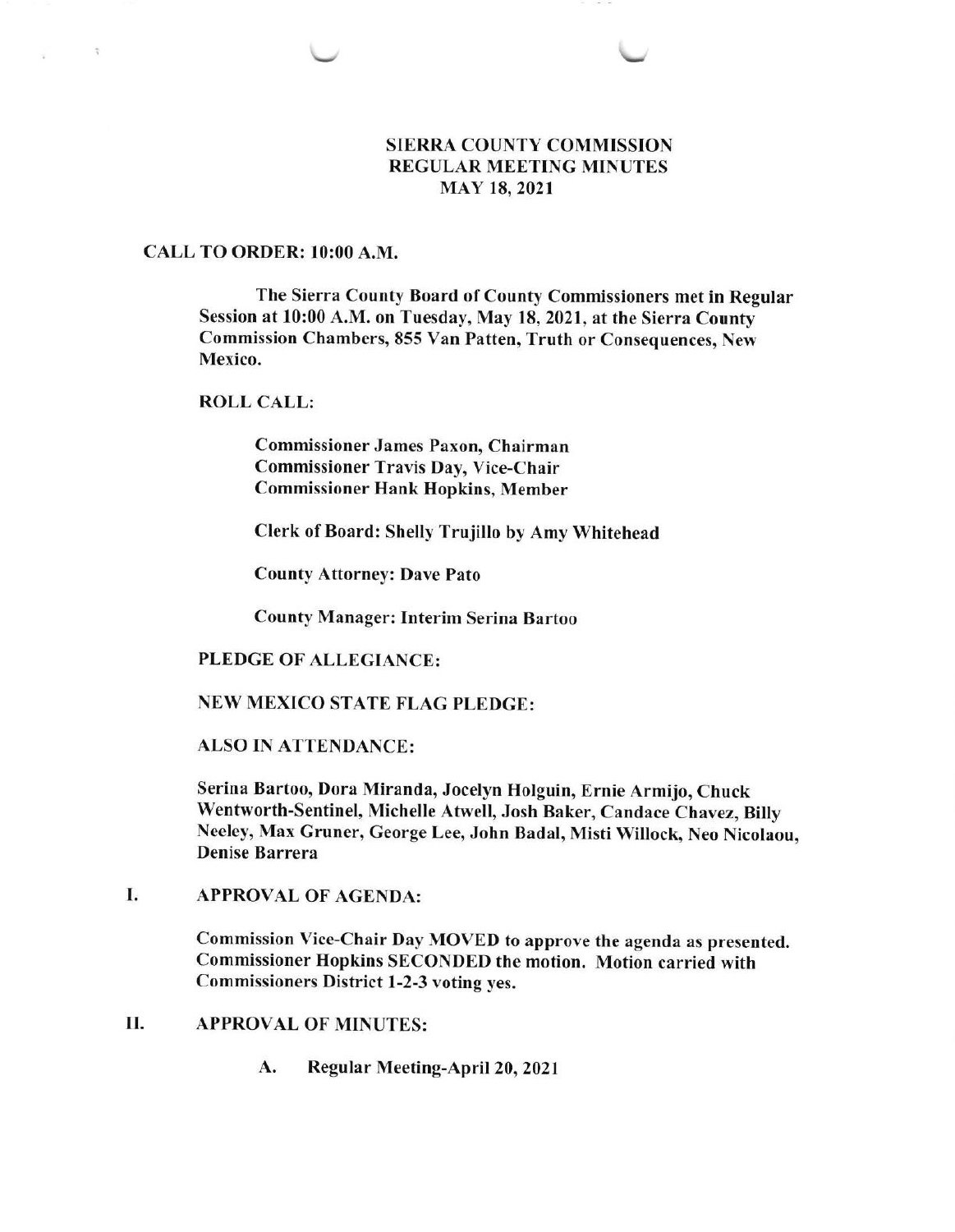## SIERRA COUNTY COMMISSION REGULAR MEETING MINUTES MAY 18,2021

## CALL TO ORDER: 10:00 A.M.

 $\overline{\phantom{a}}$ 

÷

The Sierra County Board of County Commissioners met in Regular Session at l0:00 A.M. on Tuesday, May 18, 2021, at the Sierra County Commission Chambers, 855 Van Patten, Truth or Consequences, New Mexico.

ROLL CALL:

Commissioner James Paxon, Chairman Commissioner Travis Day, Vice-Chair Commissioner Hank Hopkins, Member

Clerk of Board: Shelly Trujillo by Amy Whitehead

County Attorney: Dave Pato

County Manager: Interim Serina Bartoo

## PLEDGE OF ALLEGIANCE:

# NEW MEXICO STATE FLAG PLEDGE:

ALSO IN ATTENDANCE:

Serina Bartoo, Dora Miranda, Jocelyn Holguin, Ernie Armijo, Chuck Wentworth-Sentinel, Michelle Atwell, Josh Baker, Candace Chavez, Billy Neeley, Max Gruner, George Lee, John Badal, Misti Willock, Neo Nicolaou, Denise Barrera

APPROVAL OF AGENDA: I

> Commission Vice-Chair Day MOVED to approve the agenda as presented. Commissioner Hopkins SECONDED the motion. Motion carried with Commissioners District 1-2-3 voting yes.

- II. APPROVAL OF MINUTES:
	- A. Regular Meeting-April 20,2021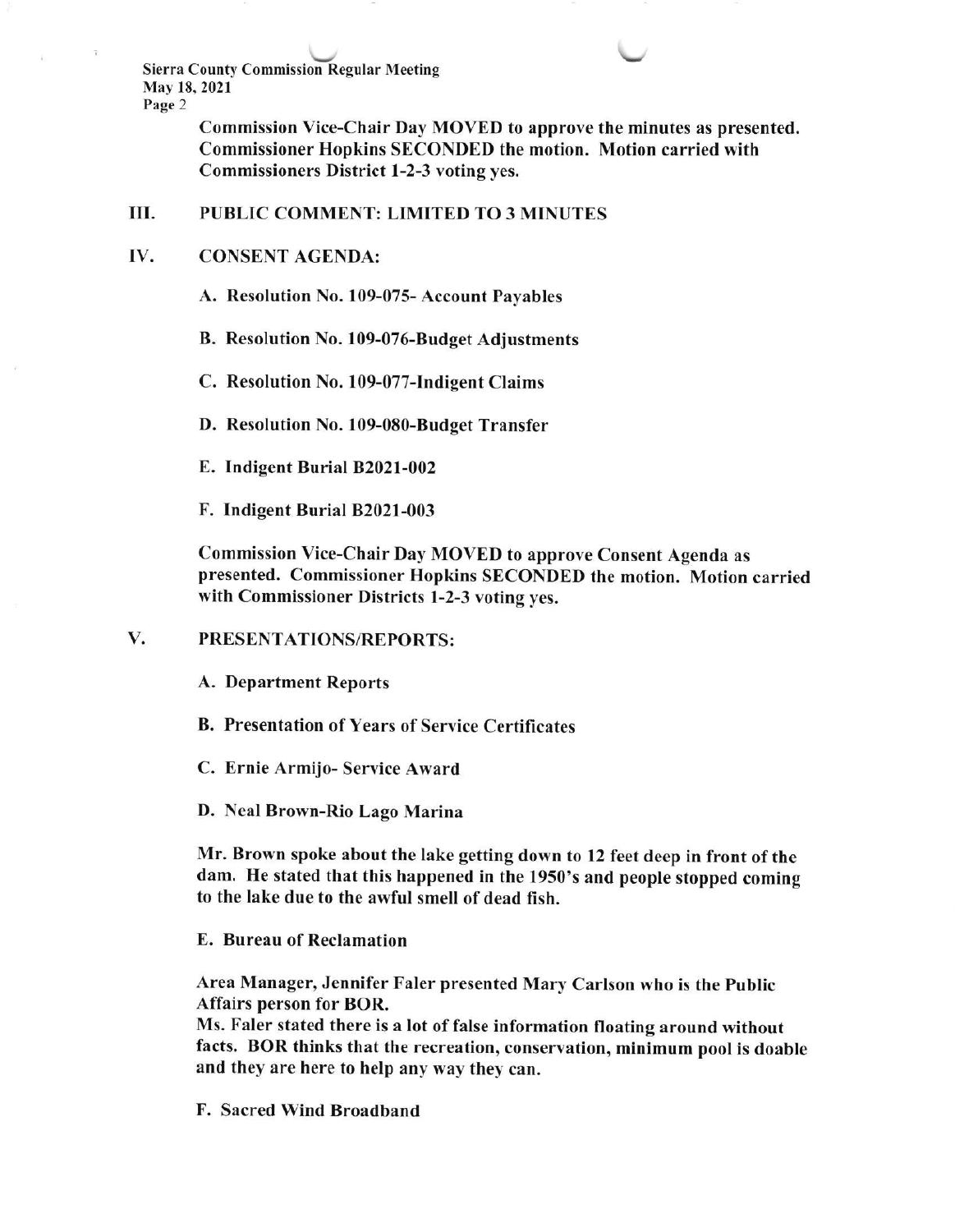Sierra County Commission Regular Meeting May 18,2021 Page 2

> Commission Vice-Chair Day MOVED to approve the minutes as presented. Commissioner Hopkins SECONDED the motion. Motion carried with Commissioners District 1-2-3 voting yes.

 $\overline{\phantom{0}}$ 

## III. PUBLIC COMMENT: LIMITED TO 3 MINUTES

#### IV CONSENT AGENDA:

A. Resolution No. 109-075- Account Payables

B. Resolution No. 109-076-Budget Adjustments

C. Resolution No. 109-077-Indigent Claims

D. Resolution No. 109-080-Budget Transfer

E. Indigent Burial 82021-002

F. Indigent Burial 82021-003

Commission Vice-Chair Day MOVED to approve Consent Agenda as presented. Commissioner Hopkins SECONDED the motion. Motion carried with Commissioner Districts l-2-3 voting yes.

## V. PRESENTATIONS/REPORTS:

A. Department Reports

B. Presentation of Years of Service Certificates

C. Ernie Armijo- Service Award

D. Neal Brown-Rio Lago Marina

Mr. Brown spoke about the lake getting down to 12 feet deep in front of the dam. He stated that this happened in the 1950's and people stopped coming to the lake due to the awful smell of dead fish.

E. Bureau of Reclamation

Area Manager, Jennifer Faler presented Mary Carlson who is the public Affairs person for BOR.

Ms. Faler stated there is a lot of false information floating around without facts. BOR thinks that the recreation, conservation, minimum pool is doable and they are here to help any way they can.

F. Sacred Wind Broadband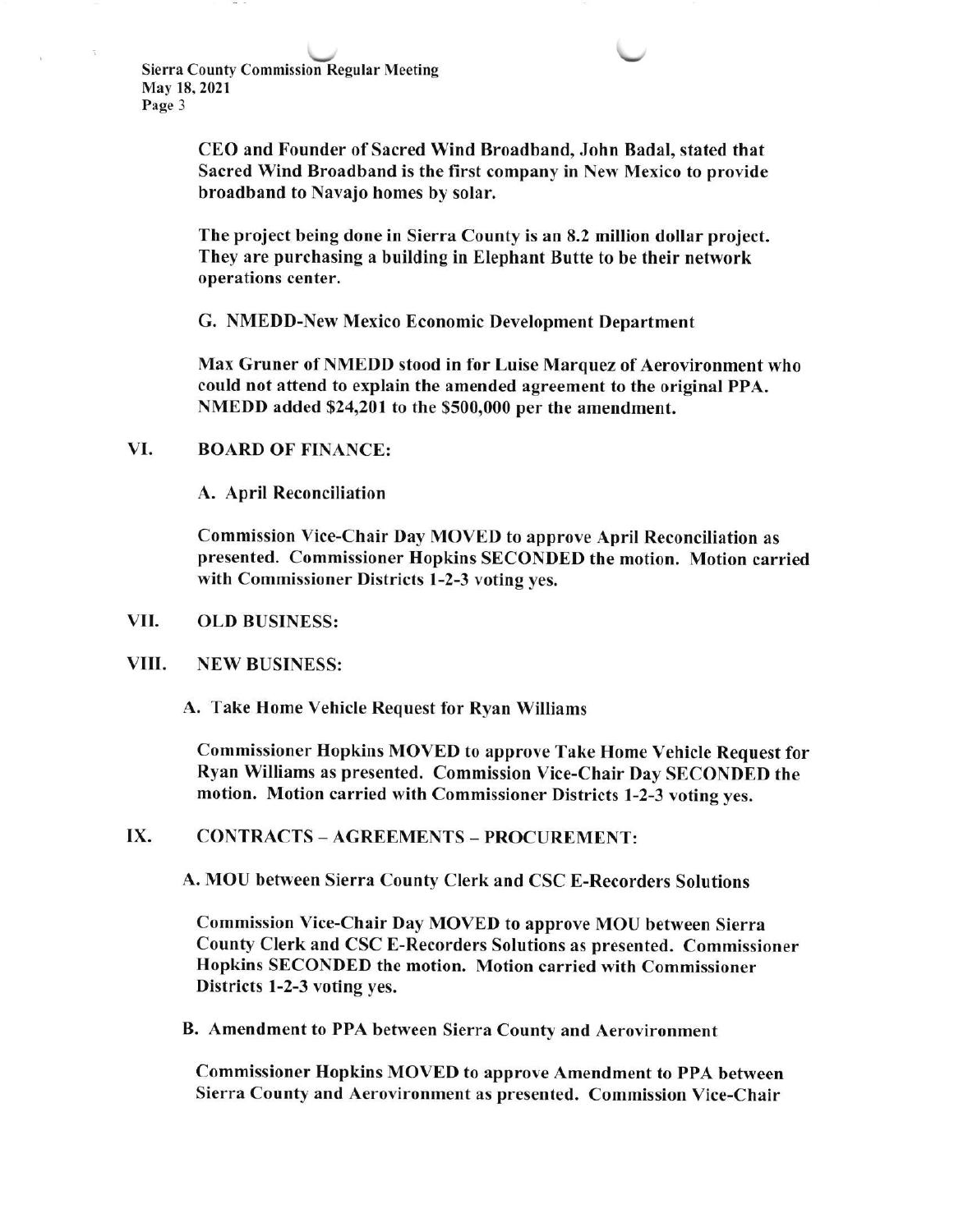CEO and Founder of Sacred Wind Broadband, John Badal, stated that Sacred Wind Broadband is the first company in New Mexico to provide broadband to Navajo homes by solar.

The project being done in Sierra County is an 8.2 million dollar project. They are purchasing a building in Elephant Butte to be their network operations center.

G. NMEDD-New Mexico Economic Development Department

Max Gruner of NMEDD stood in for Luise Marquez of Aerovironment who could not attend to explain the amended agreement to the original PPA. NMEDD added \$24,201 to the \$500,000 per the amendment.

# VI. BOARD OF FINANCE:

A. April Reconciliation

Commission Vice-Chair Day MOVED to approve April Reconciliation as presented. Commissioner Hopkins SECONDED the motion. Motion carried with Commissioner Districts 1-2-3 voting yes.

#### OLD BUSINESS: VII

#### NEW BUSINESS: VIII.

A. Take Home Vehicle Request for Ryan Williams

Commissioner Hopkins MOVED to approve Take Home Vehicle Request for Ryan Williams as presented. Commission Vice-Chair Day SECONDED the motion. Motion carried with Commissioner Districts l-2-3 voting yes.

## IX. CONTRACTS - AGREEMENTS - PROCUREMENT:

A. MOU between Sierra Counfv Clerk and CSC E-Recorders Solutions

Commission Vice-Chair Day MOVED to approve MOU between Sierra County Clerk and CSC E-Recorders Solutions as presented. Commissioner Hopkins SECONDED the motion. Motion carried with Commissioner Districts l-2-3 voting yes.

B. Amendment to PPA between Sierra County and Aerovironment

Commissioner Hopkins MOVED to approve Amendment to PPA between Sierra County and Aerovironment as presented. Commission Vice-Chair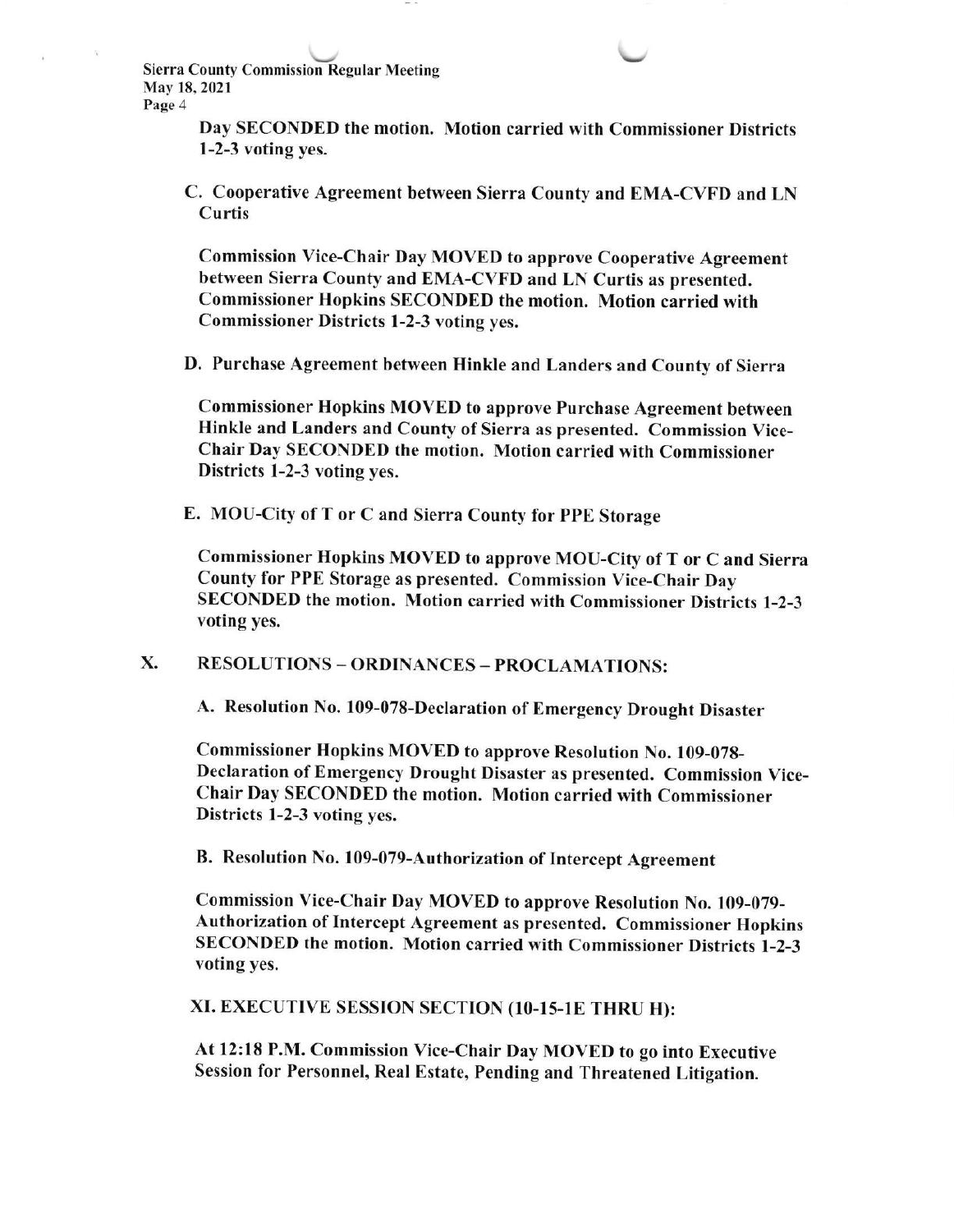Sierra County Commission Regular Meeting May 18, 2021 Page 4

> Day SECONDED the motion. Motion carried with Commissioner Districts 1-2-3 voting yes.

 $\overline{\phantom{a}}$ 

C. Cooperative Agreement between Sierra County and EMA-CVFD and LN Curtis

Commission Vice-Chair Day MOVED to approve Cooperative Agreement between Sierra County and EMA-CVFD and LN Curtis as presented. Commissioner Hopkins SECONDED the motion. Motion carried with Commissioner Districts 1-2-3 voting yes.

D. Purchase Agreement between Hinkle and Landers and County of Sierra

Commissioner Hopkins MOVED to approve Purchase Agreement between Hinkle and Landers and County of Sierra as presented. Commission Vice-Chair Day SECONDED the motion. Motion carried with Commissioner Districts 1-2-3 voting yes.

E. MOU-City of T or C and Sierra County for PPE Storage

Commissioner Hopkins MOVED to approve MOU-City of T or C and Sierra County for PPE Storage as presented. Commission Vice-Chair Day SECONDED the motion. Motion carried with Commissioner Districts l-2-3 voting yes,

X. RESOLUTIONS - ORDINANCES - PROCLAMATIONS:

A. Resolution No. 109-078-Declaration of Emergency Drought Disaster

Commissioner Hopkins MOVED to approve Resolution No. 109-078- Declaration of Emergency Drought Disaster as presented. Commission Vice-Chair Day SECONDED the motion. Motion carried with Commissioner Districts l-2-3 voting yes.

B. Resolution No. 109-079-Authorization of Intercept Agreement

Commission Vice-Chair Day MOVED to approve Resolution No. 109-079- Authorization of Intercept Agreement as presented. Commissioner Hopkins SECONDED the motion. Motion carried with Commissioner Districts l-2-3 voting yes.

XI. EXECUTIVE SESSION SECTION (10-15-1E THRU H):

At 12: 18 P.M, Commission Vice-Chair Day MOVED to go into Executive Session for Personnel, Real Estate, Pending and Threatened Litigation.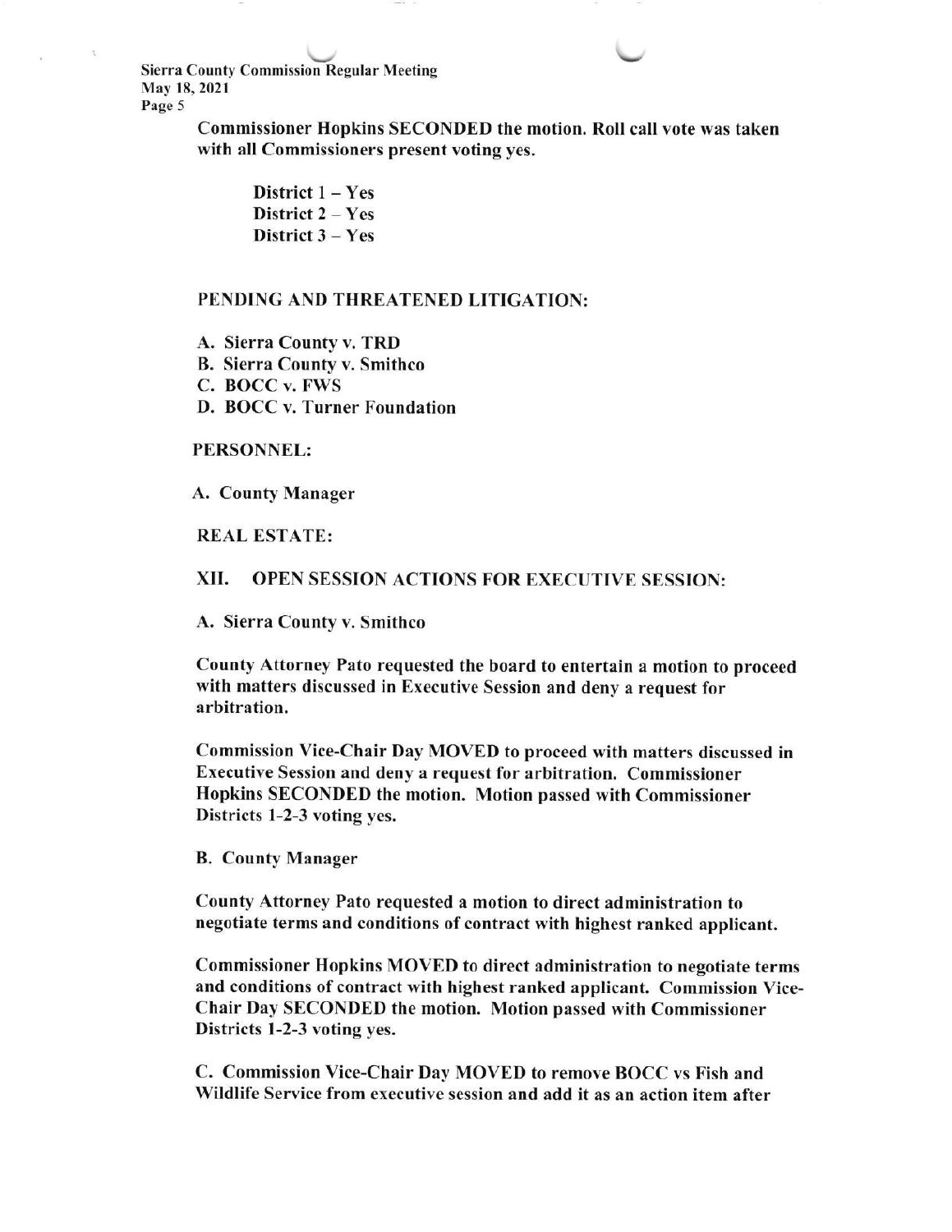\./ \, Sierra County Commission Regular Meeting May 18, 2021 Page 5

> Commissioner Hopkins SECONDED the motion. Roll call vote was taken with all Commissioners present voting yes,

District  $1 - Yes$ District 2 - Yes District  $3 - Yes$ 

### PENDING AND THREATENED LITIGATION:

A. Sierra County v. TRD B. Sierra County v. Smithco C. BOCC v. FWS D. BOCC v, Turner Foundation

### PERSONNEL:

A. County Manager

REAL ESTATE:

## XII. OPEN SESSTON ACTIONS FOR EXECUTIVE SESSION:

A. Sierra Countv v. Smithco

County Attorney Pato requested the board to entertain a motion to proceed with matters discussed in Executive Session and deny a request for arbitration,

Commission Vice-Chair Day MOVED to proceed with matters discussed in Executive Session and deny a request for arbitration. Commissioner Hopkins SECONDED the motion. Motion passed with Commissioner Districts 1-2-3 voting yes.

B. County Manager

County Attorney Pato requested a motion to direct administration to negotiate terms and conditions of contract with highest ranked applicant.

Commissioner Hopkins MOVED to direct administration to negotiate terms and conditions of contract with highest ranked applicant. Commission Vice-Chair Day SECONDED the motion. Motion passed with Commissioner Districts 1-2-3 voting ves.

C. Commission Vice-Chair Day MOVED to remove BOCC vs Fish and Wildlife Service from executive session and add it as an action item after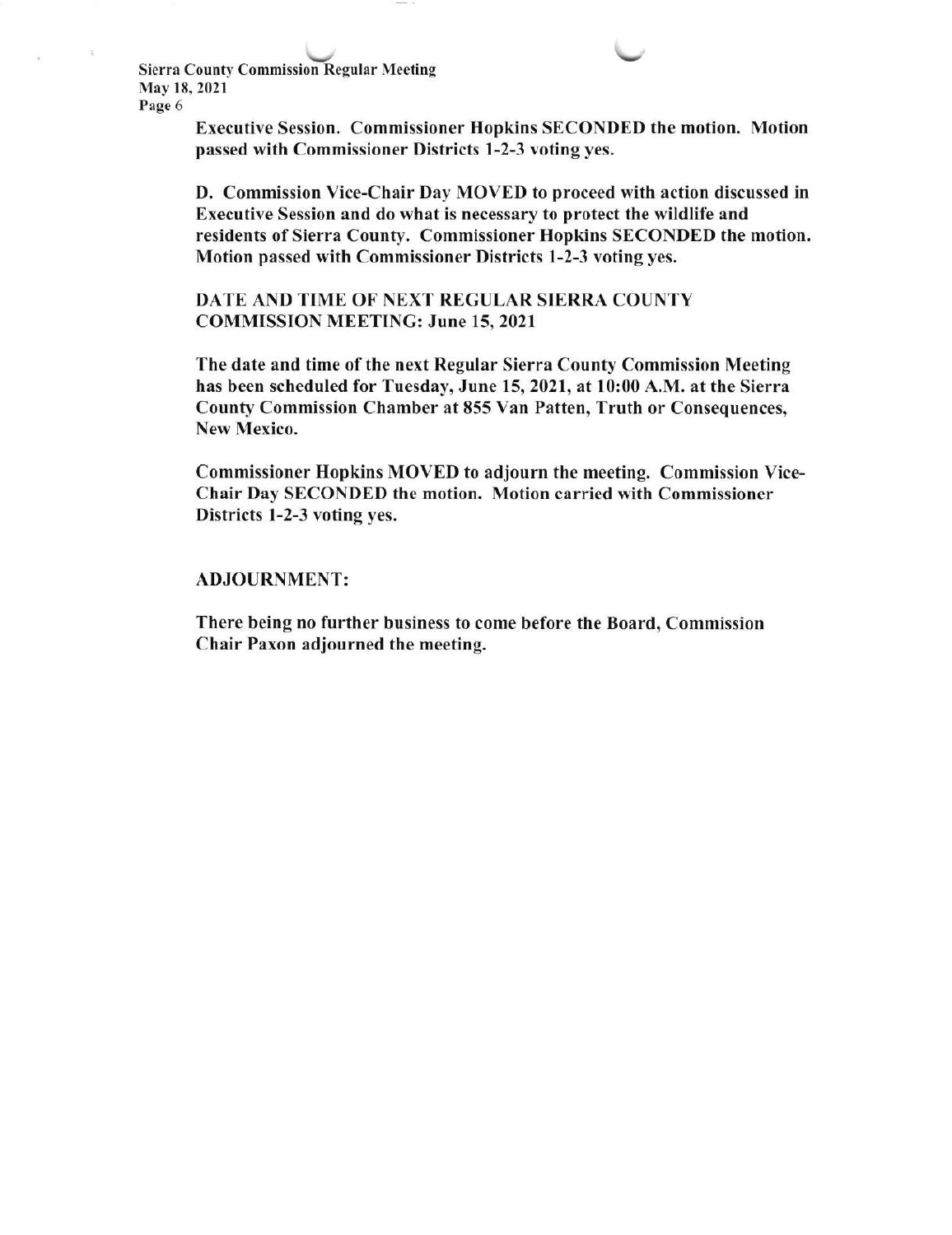**Sierra County Commission Regular Meeting** May 18,2021 Page 6

> Executive Session. Commissioner Hopkins SECONDED the motion. Motion passed with Commissioner Districts 1-2-3 voting yes.

> D. Commission Vice-Chair Day MOVED to proceed with action discussed in Executive Session and do what is necessary to protect the wildlife and residents of Sierra County. Commissioner Hopkins SECONDED the motion. Motion passed with Commissioner Districts 1-2-3 voting yes.

DATE AND TIME OF NEXT REGULAR SIERRA COUNTY COMMISSION MEETING: June 15,2021

The date and time of the next Regular Sierra County Commission Meeting has been scheduled for Tuesday, June 15, 2021, at 10:00 A.M. at the Sierra County Commission Chamber at 855 Van Patten, Truth or Consequences, New Mexico.

Commissioner Hopkins MOVED to adjourn the meeting. Commission Vice-Chair Day SECONDED the motion. Motion carried with Commissioner Districts l-2-3 voting yes.

## ADJOURNMENT:

There being no further business to come before the Board, Commission Chair Paxon adjourned the meeting.